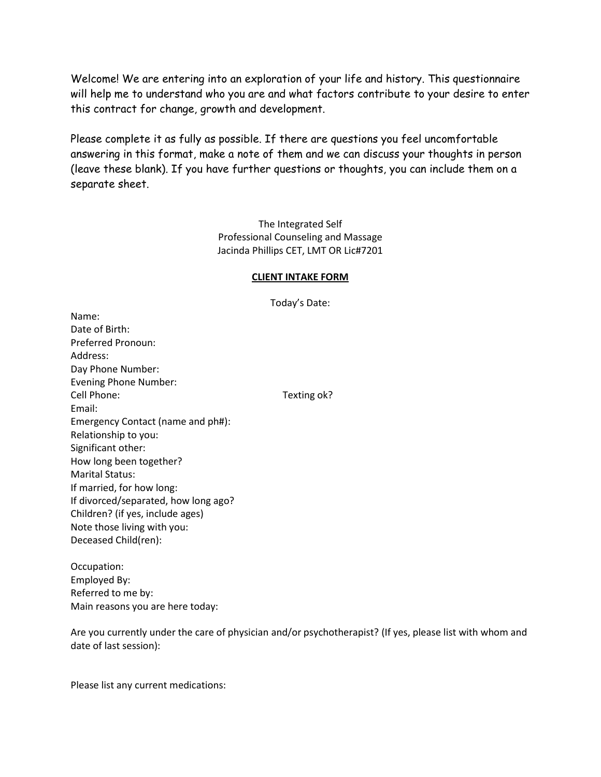Welcome! We are entering into an exploration of your life and history. This questionnaire will help me to understand who you are and what factors contribute to your desire to enter this contract for change, growth and development.

Please complete it as fully as possible. If there are questions you feel uncomfortable answering in this format, make a note of them and we can discuss your thoughts in person (leave these blank). If you have further questions or thoughts, you can include them on a separate sheet.

> The Integrated Self Professional Counseling and Massage Jacinda Phillips CET, LMT OR Lic#7201

## **CLIENT INTAKE FORM**

Today's Date:

Name: Date of Birth: Preferred Pronoun: Address: Day Phone Number: Evening Phone Number: Cell Phone: Texting ok? Email: Emergency Contact (name and ph#): Relationship to you: Significant other: How long been together? Marital Status: If married, for how long: If divorced/separated, how long ago? Children? (if yes, include ages) Note those living with you: Deceased Child(ren):

Occupation: Employed By: Referred to me by: Main reasons you are here today:

Are you currently under the care of physician and/or psychotherapist? (If yes, please list with whom and date of last session):

Please list any current medications: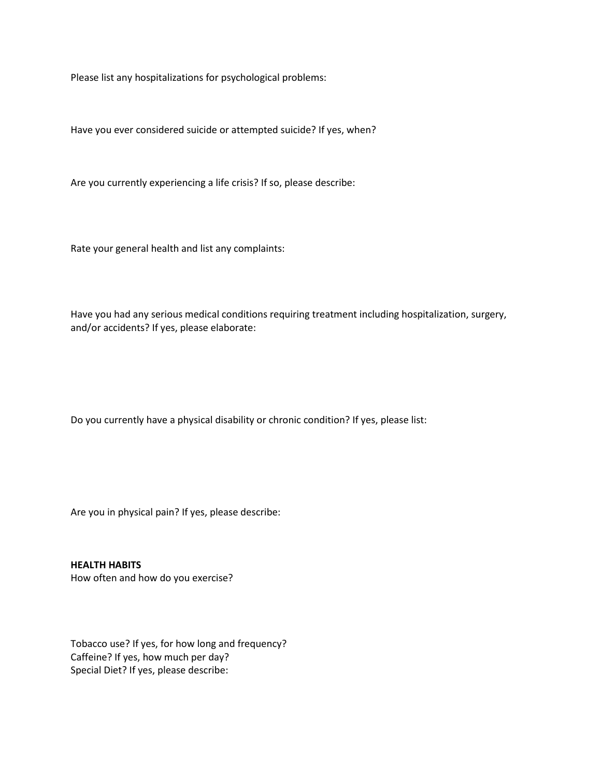Please list any hospitalizations for psychological problems:

Have you ever considered suicide or attempted suicide? If yes, when?

Are you currently experiencing a life crisis? If so, please describe:

Rate your general health and list any complaints:

Have you had any serious medical conditions requiring treatment including hospitalization, surgery, and/or accidents? If yes, please elaborate:

Do you currently have a physical disability or chronic condition? If yes, please list:

Are you in physical pain? If yes, please describe:

**HEALTH HABITS** How often and how do you exercise?

Tobacco use? If yes, for how long and frequency? Caffeine? If yes, how much per day? Special Diet? If yes, please describe: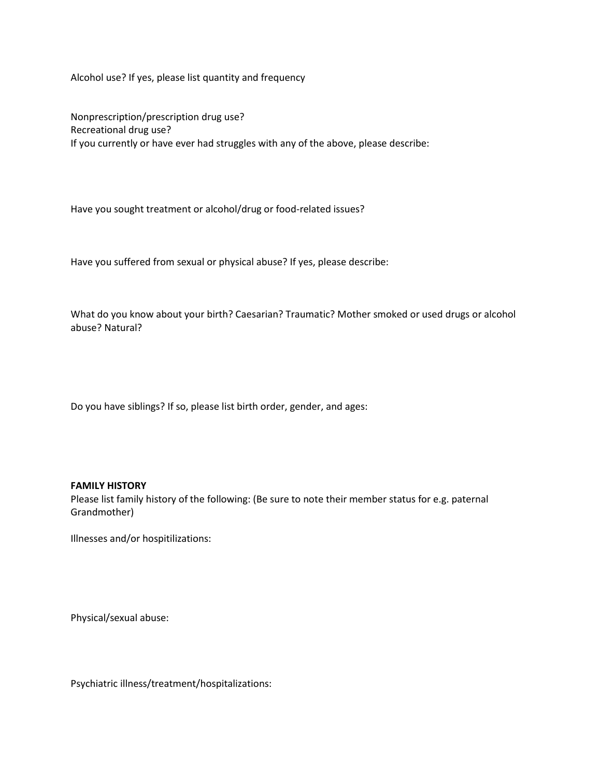Alcohol use? If yes, please list quantity and frequency

Nonprescription/prescription drug use? Recreational drug use? If you currently or have ever had struggles with any of the above, please describe:

Have you sought treatment or alcohol/drug or food-related issues?

Have you suffered from sexual or physical abuse? If yes, please describe:

What do you know about your birth? Caesarian? Traumatic? Mother smoked or used drugs or alcohol abuse? Natural?

Do you have siblings? If so, please list birth order, gender, and ages:

## **FAMILY HISTORY**

Please list family history of the following: (Be sure to note their member status for e.g. paternal Grandmother)

Illnesses and/or hospitilizations:

Physical/sexual abuse:

Psychiatric illness/treatment/hospitalizations: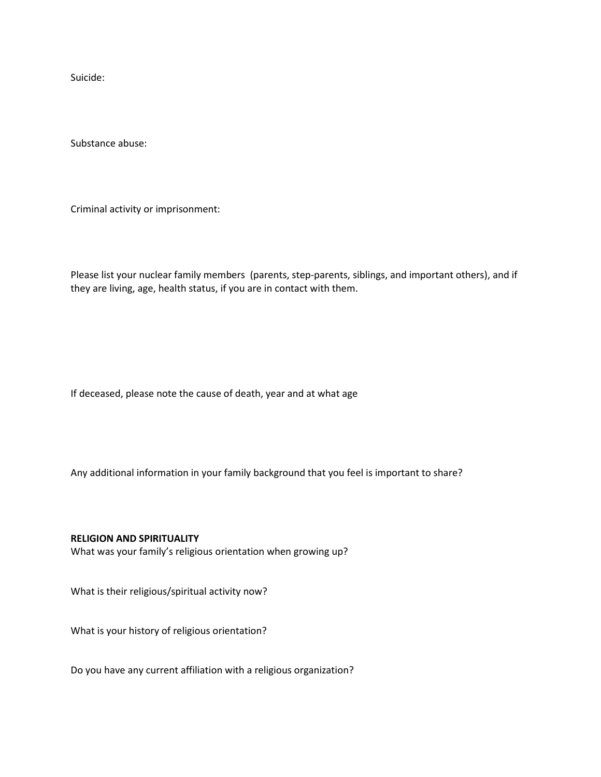Suicide:

Substance abuse:

Criminal activity or imprisonment:

Please list your nuclear family members (parents, step-parents, siblings, and important others), and if they are living, age, health status, if you are in contact with them.

If deceased, please note the cause of death, year and at what age

Any additional information in your family background that you feel is important to share?

## **RELIGION AND SPIRITUALITY**

What was your family's religious orientation when growing up?

What is their religious/spiritual activity now?

What is your history of religious orientation?

Do you have any current affiliation with a religious organization?